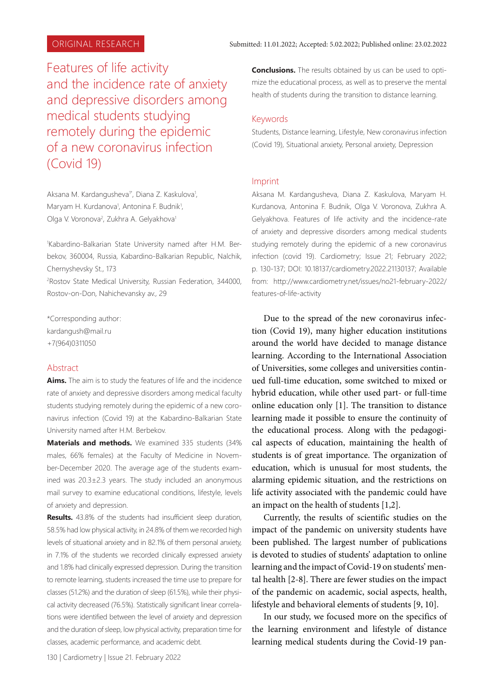Features of life activity and the incidence rate of anxiety and depressive disorders among medical students studying remotely during the epidemic of a new coronavirus infection (Covid 19)

Aksana M. Kardangusheva<sup>1\*</sup>, Diana Z. Kaskulova<sup>1</sup>, Maryam H. Kurdanova<sup>1</sup>, Antonina F. Budnik<sup>1</sup>, Olga V. Voronova<sup>2</sup>, Zukhra A. Gelyakhova<sup>1</sup>

1 Kabardino-Balkarian State University named after H.M. Berbekov, 360004, Russia, Kabardino-Balkarian Republic, Nalchik, Chernyshevsky St., 173

2 Rostov State Medical University, Russian Federation, 344000, Rostov-on-Don, Nahichevansky av., 29

\*Corresponding author: kardangush@mail.ru +7(964)0311050

## Abstract

**Aims.** The aim is to study the features of life and the incidence rate of anxiety and depressive disorders among medical faculty students studying remotely during the epidemic of a new coronavirus infection (Covid 19) at the Kabardino-Balkarian State University named after H.M. Berbekov.

**Materials and methods.** We examined 335 students (34% males, 66% females) at the Faculty of Medicine in November-December 2020. The average age of the students examined was 20.3±2.3 years. The study included an anonymous mail survey to examine educational conditions, lifestyle, levels of anxiety and depression.

**Results.** 43.8% of the students had insufficient sleep duration, 58.5% had low physical activity, in 24.8% of them we recorded high levels of situational anxiety and in 82.1% of them personal anxiety, in 7.1% of the students we recorded clinically expressed anxiety and 1.8% had clinically expressed depression. During the transition to remote learning, students increased the time use to prepare for classes (51.2%) and the duration of sleep (61.5%), while their physical activity decreased (76.5%). Statistically significant linear correlations were identified between the level of anxiety and depression and the duration of sleep, low physical activity, preparation time for classes, academic performance, and academic debt.

**Conclusions.** The results obtained by us can be used to optimize the educational process, as well as to preserve the mental health of students during the transition to distance learning.

### Keywords

Students, Distance learning, Lifestyle, New coronavirus infection (Covid 19), Situational anxiety, Personal anxiety, Depression

#### Imprint

Аksana M. Kаrdаngushevа, Diana Z. Kaskulova, Maryam H. Kurdanova, Antonina F. Budnik, Olga V. Voronova, Zukhra A. Gelyakhova. Features of life activity and the incidence-rate of anxiety and depressive disorders among medical students studying remotely during the epidemic of a new coronavirus infection (covid 19). Cardiometry; Issue 21; February 2022; p. 130-137; DOI: 10.18137/cardiometry.2022.21130137; Available from: http://www.cardiometry.net/issues/no21-february-2022/ features-of-life-activity

Due to the spread of the new coronavirus infection (Covid 19), many higher education institutions around the world have decided to manage distance learning. According to the International Association of Universities, some colleges and universities continued full-time education, some switched to mixed or hybrid education, while other used part- or full-time online education only [1]. The transition to distance learning made it possible to ensure the continuity of the educational process. Along with the pedagogical aspects of education, maintaining the health of students is of great importance. The organization of education, which is unusual for most students, the alarming epidemic situation, and the restrictions on life activity associated with the pandemic could have an impact on the health of students [1,2].

Currently, the results of scientific studies on the impact of the pandemic on university students have been published. The largest number of publications is devoted to studies of students' adaptation to online learning and the impact of Covid-19 on students' mental health [2-8]. There are fewer studies on the impact of the pandemic on academic, social aspects, health, lifestyle and behavioral elements of students [9, 10].

In our study, we focused more on the specifics of the learning environment and lifestyle of distance learning medical students during the Covid-19 pan-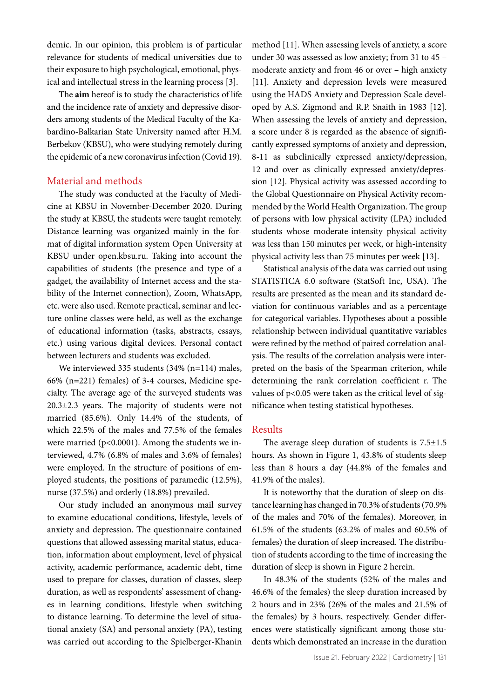demic. In our opinion, this problem is of particular relevance for students of medical universities due to their exposure to high psychological, emotional, physical and intellectual stress in the learning process [3].

The **aim** hereof is to study the characteristics of life and the incidence rate of anxiety and depressive disorders among students of the Medical Faculty of the Kabardino-Balkarian State University named after H.M. Berbekov (KBSU), who were studying remotely during the epidemic of a new coronavirus infection (Covid 19).

## Material and methods

The study was conducted at the Faculty of Medicine at KBSU in November-December 2020. During the study at KBSU, the students were taught remotely. Distance learning was organized mainly in the format of digital information system Open University at KBSU under open.kbsu.ru. Taking into account the capabilities of students (the presence and type of a gadget, the availability of Internet access and the stability of the Internet connection), Zoom, WhatsApp, etc. were also used. Remote practical, seminar and lecture online classes were held, as well as the exchange of educational information (tasks, abstracts, essays, etc.) using various digital devices. Personal contact between lecturers and students was excluded.

We interviewed 335 students (34% (n=114) males, 66% (n=221) females) of 3-4 courses, Medicine specialty. The average age of the surveyed students was 20.3±2.3 years. The majority of students were not married (85.6%). Only 14.4% of the students, of which 22.5% of the males and 77.5% of the females were married ( $p<0.0001$ ). Among the students we interviewed, 4.7% (6.8% of males and 3.6% of females) were employed. In the structure of positions of employed students, the positions of paramedic (12.5%), nurse (37.5%) and orderly (18.8%) prevailed.

Our study included an anonymous mail survey to examine educational conditions, lifestyle, levels of anxiety and depression. The questionnaire contained questions that allowed assessing marital status, education, information about employment, level of physical activity, academic performance, academic debt, time used to prepare for classes, duration of classes, sleep duration, as well as respondents' assessment of changes in learning conditions, lifestyle when switching to distance learning. To determine the level of situational anxiety (SA) and personal anxiety (PA), testing was carried out according to the Spielberger-Khanin

method [11]. When assessing levels of anxiety, a score under 30 was assessed as low anxiety; from 31 to 45 – moderate anxiety and from 46 or over – high anxiety [11]. Anxiety and depression levels were measured using the HADS Anxiety and Depression Scale developed by A.S. Zigmond and R.P. Snaith in 1983 [12]. When assessing the levels of anxiety and depression, a score under 8 is regarded as the absence of significantly expressed symptoms of anxiety and depression, 8-11 as subclinically expressed anxiety/depression, 12 and over as clinically expressed anxiety/depression [12]. Physical activity was assessed according to the Global Questionnaire on Physical Activity recommended by the World Health Organization. The group of persons with low physical activity (LPA) included students whose moderate-intensity physical activity was less than 150 minutes per week, or high-intensity physical activity less than 75 minutes per week [13].

Statistical analysis of the data was carried out using STATISTICА 6.0 software (StatSoft Inc, USA). The results are presented as the mean and its standard deviation for continuous variables and as a percentage for categorical variables. Hypotheses about a possible relationship between individual quantitative variables were refined by the method of paired correlation analysis. The results of the correlation analysis were interpreted on the basis of the Spearman criterion, while determining the rank correlation coefficient r. The values of p<0.05 were taken as the critical level of significance when testing statistical hypotheses.

## Results

The average sleep duration of students is  $7.5 \pm 1.5$ hours. As shown in Figure 1, 43.8% of students sleep less than 8 hours a day (44.8% of the females and 41.9% of the males).

It is noteworthy that the duration of sleep on distance learning has changed in 70.3% of students (70.9% of the males and 70% of the females). Moreover, in 61.5% of the students (63.2% of males and 60.5% of females) the duration of sleep increased. The distribution of students according to the time of increasing the duration of sleep is shown in Figure 2 herein.

In 48.3% of the students (52% of the males and 46.6% of the females) the sleep duration increased by 2 hours and in 23% (26% of the males and 21.5% of the females) by 3 hours, respectively. Gender differences were statistically significant among those students which demonstrated an increase in the duration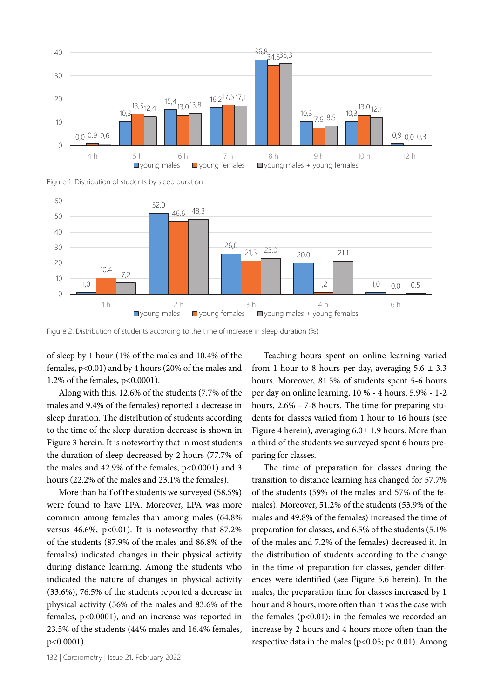

Figure 1. Distribution of students by sleep duration



Figure 2. Distribution of students according to the time of increase in sleep duration (%)

of sleep by 1 hour (1% of the males and 10.4% of the females, p<0.01) and by 4 hours (20% of the males and 1.2% of the females, p<0.0001).

Along with this, 12.6% of the students (7.7% of the males and 9.4% of the females) reported a decrease in sleep duration. The distribution of students according to the time of the sleep duration decrease is shown in Figure 3 herein. It is noteworthy that in most students the duration of sleep decreased by 2 hours (77.7% of the males and  $42.9\%$  of the females,  $p<0.0001$  and 3 hours (22.2% of the males and 23.1% the females).

More than half of the students we surveyed (58.5%) were found to have LPA. Moreover, LPA was more common among females than among males (64.8% versus 46.6%, p<0.01). It is noteworthy that  $87.2\%$ of the students (87.9% of the males and 86.8% of the females) indicated changes in their physical activity during distance learning. Among the students who indicated the nature of changes in physical activity (33.6%), 76.5% of the students reported a decrease in physical activity (56% of the males and 83.6% of the females, p<0.0001), and an increase was reported in 23.5% of the students (44% males and 16.4% females, р<0.0001).

Teaching hours spent on online learning varied from 1 hour to 8 hours per day, averaging  $5.6 \pm 3.3$ hours. Moreover, 81.5% of students spent 5-6 hours per day on online learning, 10 % - 4 hours, 5.9% - 1-2 hours, 2.6% - 7-8 hours. The time for preparing students for classes varied from 1 hour to 16 hours (see Figure 4 herein), averaging 6.0± 1.9 hours. More than a third of the students we surveyed spent 6 hours preparing for classes.

The time of preparation for classes during the transition to distance learning has changed for 57.7% of the students (59% of the males and 57% of the females). Moreover, 51.2% of the students (53.9% of the males and 49.8% of the females) increased the time of preparation for classes, and 6.5% of the students (5.1% of the males and 7.2% of the females) decreased it. In the distribution of students according to the change in the time of preparation for classes, gender differences were identified (see Figure 5,6 herein). In the males, the preparation time for classes increased by 1 hour and 8 hours, more often than it was the case with the females  $(p<0.01)$ : in the females we recorded an increase by 2 hours and 4 hours more often than the respective data in the males ( $p$ <0.05;  $p$ < 0.01). Among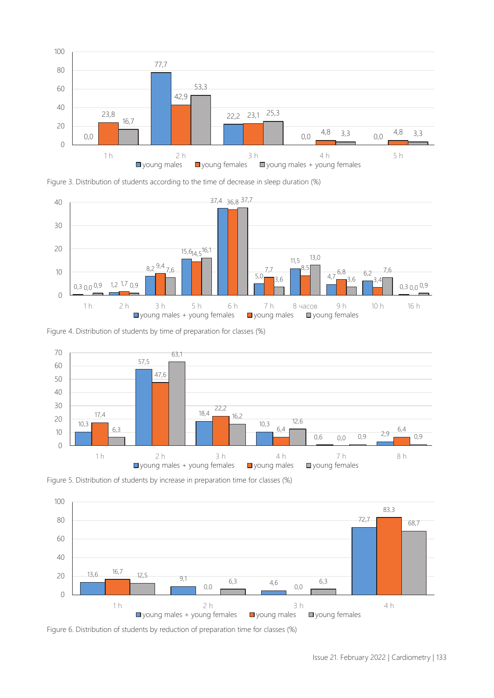

Figure 3. Distribution of students according to the time of decrease in sleep duration (%)



Figure 4. Distribution of students by time of preparation for classes (%)



Figure 5. Distribution of students by increase in preparation time for classes (%)



Figure 6. Distribution of students by reduction of preparation time for classes (%)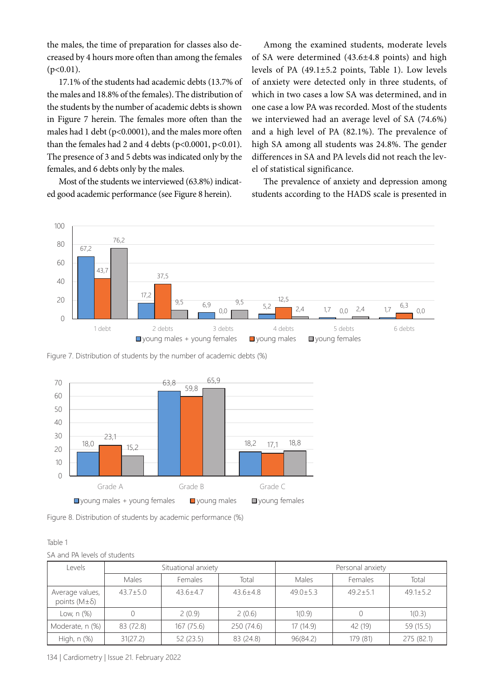the males, the time of preparation for classes also decreased by 4 hours more often than among the females  $(p<0.01)$ .

17.1% of the students had academic debts (13.7% of the males and 18.8% of the females). The distribution of the students by the number of academic debts is shown in Figure 7 herein. The females more often than the males had 1 debt ( $p<0.0001$ ), and the males more often than the females had 2 and 4 debts ( $p<0.0001$ ,  $p<0.01$ ). The presence of 3 and 5 debts was indicated only by the females, and 6 debts only by the males.

Most of the students we interviewed (63.8%) indicated good academic performance (see Figure 8 herein).

Among the examined students, moderate levels of SA were determined (43.6±4.8 points) and high levels of PA (49.1±5.2 points, Table 1). Low levels of anxiety were detected only in three students, of which in two cases a low SA was determined, and in one case a low PA was recorded. Most of the students we interviewed had an average level of SA (74.6%) and a high level of PA (82.1%). The prevalence of high SA among all students was 24.8%. The gender differences in SA and PA levels did not reach the level of statistical significance.

The prevalence of anxiety and depression among students according to the HADS scale is presented in



Figure 7. Distribution of students by the number of academic debts (%)



Figure 8. Distribution of students by academic performance (%)

| <br>×<br>×<br>۰.<br>۰. |  |
|------------------------|--|
|------------------------|--|

SA and PA levels of students

| Levels                                       | Situational anxiety |                | Personal anxiety |                |              |                |
|----------------------------------------------|---------------------|----------------|------------------|----------------|--------------|----------------|
|                                              | Males               | Females        | Total            | Males          | Females      | Total          |
| Average values,<br>points ( $M \pm \delta$ ) | $43.7 \pm 5.0$      | $43.6 \pm 4.7$ | $43.6 + 4.8$     | $49.0 \pm 5.3$ | $49.2 + 5.1$ | $49.1 \pm 5.2$ |
| Low, n (%)                                   |                     | 2(0.9)         | 2(0.6)           | 1(0.9)         |              | 1(0.3)         |
| Moderate, n (%)                              | 83 (72.8)           | 167 (75.6)     | 250 (74.6)       | 17 (14.9)      | 42 (19)      | 59 (15.5)      |
| High, n (%)                                  | 31(27.2)            | 52 (23.5)      | 83 (24.8)        | 96(84.2)       | 179 (81)     | 275 (82.1)     |

134 | Cardiometry | Issue 21. February 2022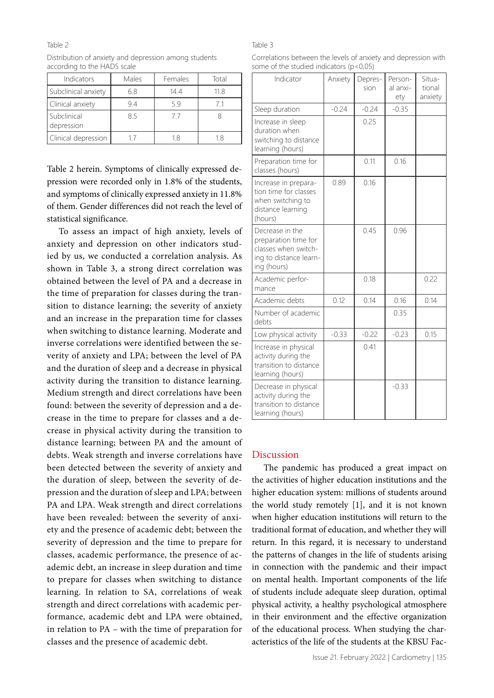#### Table 2

| Distribution of anxiety and depression among students |  |
|-------------------------------------------------------|--|
| according to the HADS scale                           |  |

| Indicators                | Males      | Females | Total |  |
|---------------------------|------------|---------|-------|--|
| Subclinical anxiety       | 144<br>6.8 |         | 118   |  |
| Clinical anxiety          | 94         | 59      | 71    |  |
| Subclinical<br>depression | 85         | 77      |       |  |
| Clinical depression       |            | 18      | 18    |  |

Table 2 herein. Symptoms of clinically expressed depression were recorded only in 1.8% of the students, and symptoms of clinically expressed anxiety in 11.8% of them. Gender differences did not reach the level of statistical significance.

To assess an impact of high anxiety, levels of anxiety and depression on other indicators studied by us, we conducted a correlation analysis. As shown in Table 3, a strong direct correlation was obtained between the level of PA and a decrease in the time of preparation for classes during the transition to distance learning; the severity of anxiety and an increase in the preparation time for classes when switching to distance learning. Moderate and inverse correlations were identified between the severity of anxiety and LPA; between the level of PA and the duration of sleep and a decrease in physical activity during the transition to distance learning. Medium strength and direct correlations have been found: between the severity of depression and a decrease in the time to prepare for classes and a decrease in physical activity during the transition to distance learning; between PA and the amount of debts. Weak strength and inverse correlations have been detected between the severity of anxiety and the duration of sleep, between the severity of depression and the duration of sleep and LPA; between PA and LPA. Weak strength and direct correlations have been revealed: between the severity of anxiety and the presence of academic debt; between the severity of depression and the time to prepare for classes, academic performance, the presence of academic debt, an increase in sleep duration and time to prepare for classes when switching to distance learning. In relation to SA, correlations of weak strength and direct correlations with academic performance, academic debt and LPA were obtained, in relation to PA – with the time of preparation for classes and the presence of academic debt.

### Table 3

Correlations between the levels of anxiety and depression with some of the studied indicators (p<0,05)

| Indicator                                                                                                | Anxiety | Depres-<br>sion | Person-<br>al anxi-<br>ety | Situa-<br>tional<br>anxiety |
|----------------------------------------------------------------------------------------------------------|---------|-----------------|----------------------------|-----------------------------|
| Sleep duration                                                                                           | $-0.24$ | $-0.24$         | $-0.35$                    |                             |
| Increase in sleep<br>duration when<br>switching to distance<br>learning (hours)                          |         | 0.25            |                            |                             |
| Preparation time for<br>classes (hours)                                                                  |         | 0.11            | 0.16                       |                             |
| Increase in prepara-<br>tion time for classes<br>when switching to<br>distance learning<br>(hours)       | 0.89    | 0.16            |                            |                             |
| Decrease in the<br>preparation time for<br>classes when switch-<br>ing to distance learn-<br>ing (hours) |         | 0.45            | 0.96                       |                             |
| Academic perfor-<br>mance                                                                                |         | 0.18            |                            | 0.22                        |
| Academic debts                                                                                           | 0.12    | 0.14            | 0.16                       | 0.14                        |
| Number of academic<br>debts                                                                              |         |                 | 0.35                       |                             |
| Low physical activity                                                                                    | $-0.33$ | $-0.22$         | $-0.23$                    | 0.15                        |
| Increase in physical<br>activity during the<br>transition to distance<br>learning (hours)                |         | 0.41            |                            |                             |
| Decrease in physical<br>activity during the<br>transition to distance<br>learning (hours)                |         |                 | $-0.33$                    |                             |

## Discussion

The pandemic has produced a great impact on the activities of higher education institutions and the higher education system: millions of students around the world study remotely [1], and it is not known when higher education institutions will return to the traditional format of education, and whether they will return. In this regard, it is necessary to understand the patterns of changes in the life of students arising in connection with the pandemic and their impact on mental health. Important components of the life of students include adequate sleep duration, optimal physical activity, a healthy psychological atmosphere in their environment and the effective organization of the educational process. When studying the characteristics of the life of the students at the KBSU Fac-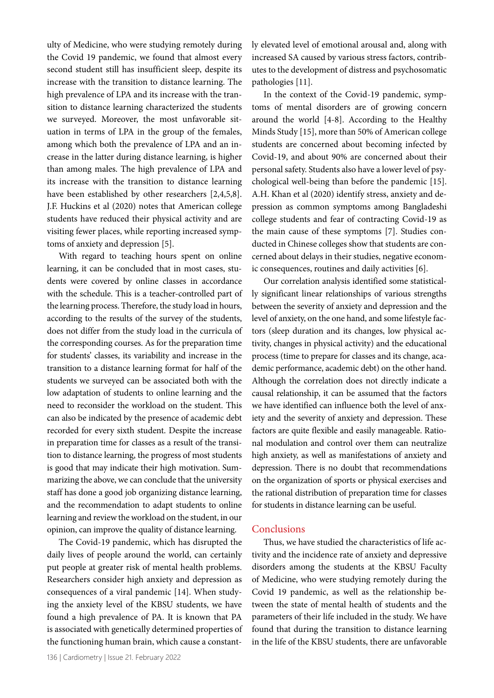ulty of Medicine, who were studying remotely during the Covid 19 pandemic, we found that almost every second student still has insufficient sleep, despite its increase with the transition to distance learning. The high prevalence of LPA and its increase with the transition to distance learning characterized the students we surveyed. Moreover, the most unfavorable situation in terms of LPA in the group of the females, among which both the prevalence of LPA and an increase in the latter during distance learning, is higher than among males. The high prevalence of LPA and its increase with the transition to distance learning have been established by other researchers [2,4,5,8]. J.F. Huckins et al (2020) notes that American college students have reduced their physical activity and are visiting fewer places, while reporting increased symptoms of anxiety and depression [5].

With regard to teaching hours spent on online learning, it can be concluded that in most cases, students were covered by online classes in accordance with the schedule. This is a teacher-controlled part of the learning process. Therefore, the study load in hours, according to the results of the survey of the students, does not differ from the study load in the curricula of the corresponding courses. As for the preparation time for students' classes, its variability and increase in the transition to a distance learning format for half of the students we surveyed can be associated both with the low adaptation of students to online learning and the need to reconsider the workload on the student. This can also be indicated by the presence of academic debt recorded for every sixth student. Despite the increase in preparation time for classes as a result of the transition to distance learning, the progress of most students is good that may indicate their high motivation. Summarizing the above, we can conclude that the university staff has done a good job organizing distance learning, and the recommendation to adapt students to online learning and review the workload on the student, in our opinion, can improve the quality of distance learning.

The Covid-19 pandemic, which has disrupted the daily lives of people around the world, can certainly put people at greater risk of mental health problems. Researchers consider high anxiety and depression as consequences of a viral pandemic [14]. When studying the anxiety level of the KBSU students, we have found a high prevalence of PA. It is known that PA is associated with genetically determined properties of the functioning human brain, which cause a constantly elevated level of emotional arousal and, along with increased SA caused by various stress factors, contributes to the development of distress and psychosomatic pathologies [11].

In the context of the Covid-19 pandemic, symptoms of mental disorders are of growing concern around the world [4-8]. According to the Healthy Minds Study [15], more than 50% of American college students are concerned about becoming infected by Covid-19, and about 90% are concerned about their personal safety. Students also have a lower level of psychological well-being than before the pandemic [15]. A.H. Khan et al (2020) identify stress, anxiety and depression as common symptoms among Bangladeshi college students and fear of contracting Covid-19 as the main cause of these symptoms [7]. Studies conducted in Chinese colleges show that students are concerned about delays in their studies, negative economic consequences, routines and daily activities [6].

Our correlation analysis identified some statistically significant linear relationships of various strengths between the severity of anxiety and depression and the level of anxiety, on the one hand, and some lifestyle factors (sleep duration and its changes, low physical activity, changes in physical activity) and the educational process (time to prepare for classes and its change, academic performance, academic debt) on the other hand. Although the correlation does not directly indicate a causal relationship, it can be assumed that the factors we have identified can influence both the level of anxiety and the severity of anxiety and depression. These factors are quite flexible and easily manageable. Rational modulation and control over them can neutralize high anxiety, as well as manifestations of anxiety and depression. There is no doubt that recommendations on the organization of sports or physical exercises and the rational distribution of preparation time for classes for students in distance learning can be useful.

## **Conclusions**

Thus, we have studied the characteristics of life activity and the incidence rate of anxiety and depressive disorders among the students at the KBSU Faculty of Medicine, who were studying remotely during the Covid 19 pandemic, as well as the relationship between the state of mental health of students and the parameters of their life included in the study. We have found that during the transition to distance learning in the life of the KBSU students, there are unfavorable